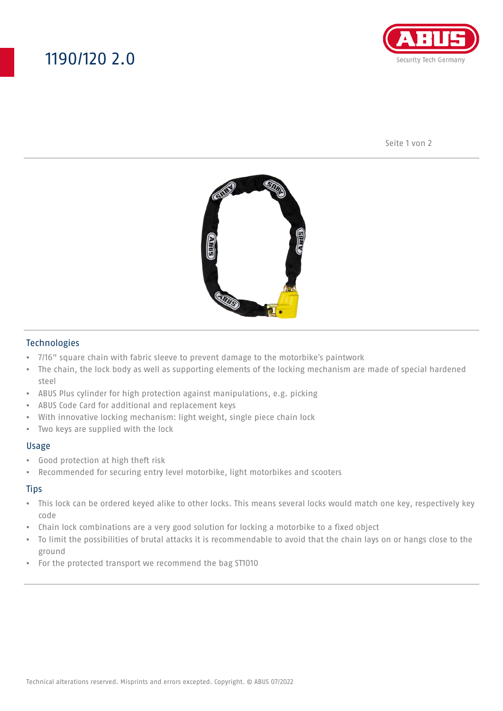## 1190/120 2.0



Seite 1 von 2



#### Technologies

- 7/16" square chain with fabric sleeve to prevent damage to the motorbike's paintwork
- The chain, the lock body as well as supporting elements of the locking mechanism are made of special hardened steel
- ABUS Plus cylinder for high protection against manipulations, e.g. picking
- ABUS Code Card for additional and replacement keys
- With innovative locking mechanism: light weight, single piece chain lock
- Two keys are supplied with the lock

#### Usage

- Good protection at high theft risk
- Recommended for securing entry level motorbike, light motorbikes and scooters

#### **Tips**

- This lock can be ordered keyed alike to other locks. This means several locks would match one key, respectively key code
- Chain lock combinations are a very good solution for locking a motorbike to a fixed object
- To limit the possibilities of brutal attacks it is recommendable to avoid that the chain lays on or hangs close to the ground
- For the protected transport we recommend the bag ST1010